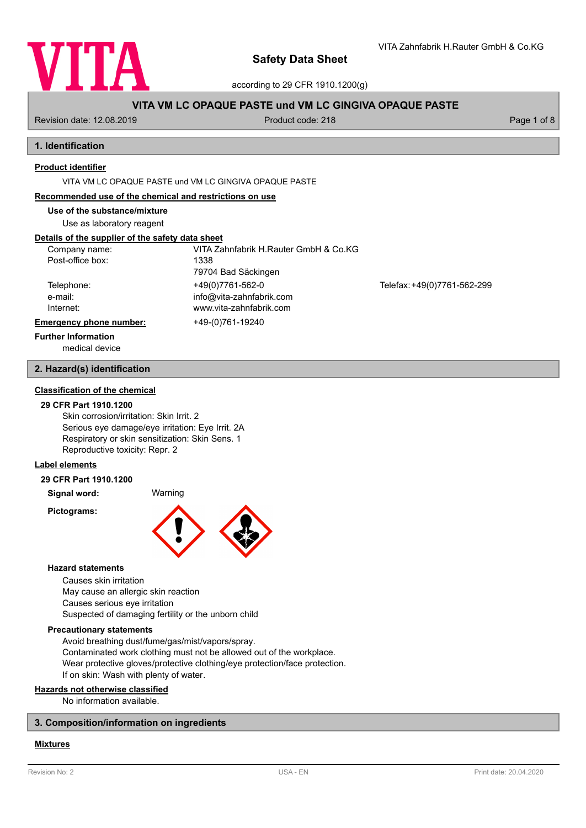

VITA Zahnfabrik H.Rauter GmbH & Co.KG

according to 29 CFR 1910.1200(g)

# **VITA VM LC OPAQUE PASTE und VM LC GINGIVA OPAQUE PASTE**

Revision date: 12.08.2019 **Product code: 218** Product code: 218 **Page 1 of 8** Page 1 of 8

# **1. Identification**

# **Product identifier**

VITA VM LC OPAQUE PASTE und VM LC GINGIVA OPAQUE PASTE

### **Recommended use of the chemical and restrictions on use**

**Use of the substance/mixture**

Use as laboratory reagent

# **Details of the supplier of the safety data sheet**

| Company name:                  | VITA Zahnfabrik H.Rauter GmbH & Co.KG |                             |
|--------------------------------|---------------------------------------|-----------------------------|
| Post-office box:               | 1338                                  |                             |
|                                | 79704 Bad Säckingen                   |                             |
| Telephone:                     | +49(0)7761-562-0                      | Telefax: +49(0)7761-562-299 |
| e-mail:                        | info@vita-zahnfabrik.com              |                             |
| Internet:                      | www.vita-zahnfabrik.com               |                             |
| <b>Emergency phone number:</b> | +49-(0)761-19240                      |                             |
| <b>Further Information</b>     |                                       |                             |

medical device

### **2. Hazard(s) identification**

# **Classification of the chemical**

### **29 CFR Part 1910.1200**

Skin corrosion/irritation: Skin Irrit. 2 Serious eye damage/eye irritation: Eye Irrit. 2A Respiratory or skin sensitization: Skin Sens. 1 Reproductive toxicity: Repr. 2

# **Label elements**

#### **29 CFR Part 1910.1200**

**Signal word:** Warning

**Pictograms:**



#### **Hazard statements**

Causes skin irritation May cause an allergic skin reaction Causes serious eye irritation Suspected of damaging fertility or the unborn child

## **Precautionary statements**

Avoid breathing dust/fume/gas/mist/vapors/spray. Contaminated work clothing must not be allowed out of the workplace. Wear protective gloves/protective clothing/eye protection/face protection. If on skin: Wash with plenty of water.

## **Hazards not otherwise classified**

No information available.

## **3. Composition/information on ingredients**

### **Mixtures**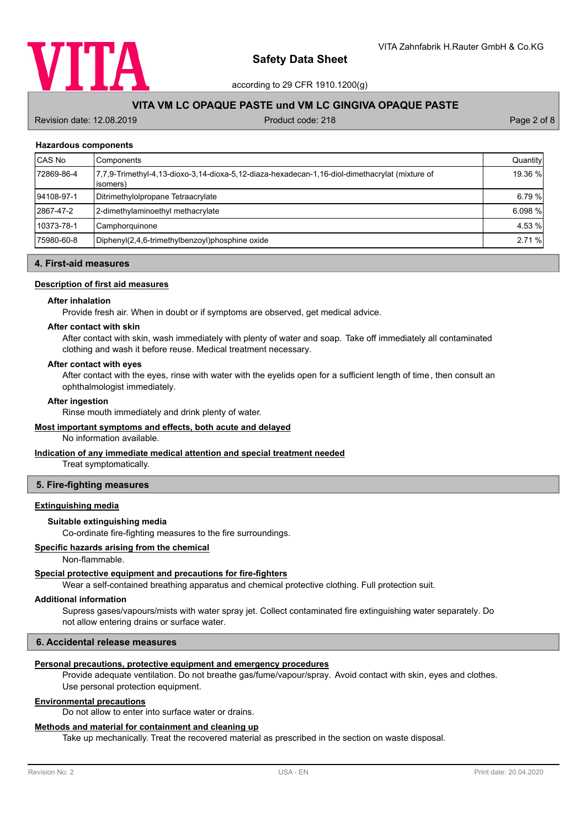

according to 29 CFR 1910.1200(g)

# **VITA VM LC OPAQUE PASTE und VM LC GINGIVA OPAQUE PASTE**

Revision date: 12.08.2019 **Product code: 218** Product code: 218 **Page 2 of 8** Page 2 of 8

### **Hazardous components**

| CAS No     | Components                                                                                                  | Quantity |
|------------|-------------------------------------------------------------------------------------------------------------|----------|
| 72869-86-4 | 7,7,9-Trimethyl-4,13-dioxo-3,14-dioxa-5,12-diaza-hexadecan-1,16-diol-dimethacrylat (mixture of<br>lisomers) | 19.36 %  |
| 94108-97-1 | Ditrimethylolpropane Tetraacrylate                                                                          | 6.79 %   |
| 2867-47-2  | 2-dimethylaminoethyl methacrylate                                                                           | 6.098 %  |
| 10373-78-1 | Camphorquinone                                                                                              | 4.53 %   |
| 75980-60-8 | Diphenyl(2,4,6-trimethylbenzoyl)phosphine oxide                                                             | 2.71 %   |

# **4. First-aid measures**

# **Description of first aid measures**

#### **After inhalation**

Provide fresh air. When in doubt or if symptoms are observed, get medical advice.

#### **After contact with skin**

After contact with skin, wash immediately with plenty of water and soap. Take off immediately all contaminated clothing and wash it before reuse. Medical treatment necessary.

#### **After contact with eyes**

After contact with the eyes, rinse with water with the eyelids open for a sufficient length of time, then consult an ophthalmologist immediately.

#### **After ingestion**

Rinse mouth immediately and drink plenty of water.

### **Most important symptoms and effects, both acute and delayed**

No information available.

## **Indication of any immediate medical attention and special treatment needed**

Treat symptomatically.

### **5. Fire-fighting measures**

# **Extinguishing media**

### **Suitable extinguishing media**

Co-ordinate fire-fighting measures to the fire surroundings.

# **Specific hazards arising from the chemical**

Non-flammable.

## **Special protective equipment and precautions for fire-fighters**

Wear a self-contained breathing apparatus and chemical protective clothing. Full protection suit.

#### **Additional information**

Supress gases/vapours/mists with water spray jet. Collect contaminated fire extinguishing water separately. Do not allow entering drains or surface water.

# **6. Accidental release measures**

## **Personal precautions, protective equipment and emergency procedures**

Provide adequate ventilation. Do not breathe gas/fume/vapour/spray. Avoid contact with skin, eyes and clothes. Use personal protection equipment.

## **Environmental precautions**

Do not allow to enter into surface water or drains.

## **Methods and material for containment and cleaning up**

Take up mechanically. Treat the recovered material as prescribed in the section on waste disposal.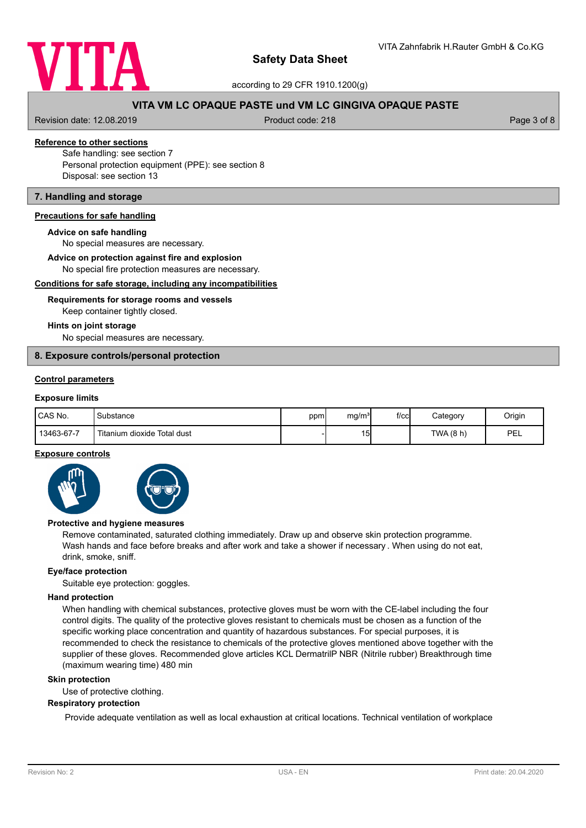

according to 29 CFR 1910.1200(g)

# **VITA VM LC OPAQUE PASTE und VM LC GINGIVA OPAQUE PASTE**

Revision date: 12.08.2019 **Product code: 218** Product code: 218 **Page 3 of 8** Page 3 of 8

# **Reference to other sections**

Safe handling: see section 7 Personal protection equipment (PPE): see section 8 Disposal: see section 13

# **7. Handling and storage**

## **Precautions for safe handling**

#### **Advice on safe handling**

No special measures are necessary.

#### **Advice on protection against fire and explosion**

No special fire protection measures are necessary.

### **Conditions for safe storage, including any incompatibilities**

# Keep container tightly closed. **Requirements for storage rooms and vessels**

#### **Hints on joint storage**

No special measures are necessary.

### **8. Exposure controls/personal protection**

## **Control parameters**

# **Exposure limits**

| CAS No.    | Substance                   | ppm | mg/m <sup>3</sup>   | $f$ / $c$ c $\vert$ | Category         | Origin |
|------------|-----------------------------|-----|---------------------|---------------------|------------------|--------|
| 13463-67-7 | Titanium dioxide Total dust |     | $\overline{ }$<br>ີ |                     | <b>TWA (8 h)</b> | PEL    |

# **Exposure controls**



#### **Protective and hygiene measures**

Remove contaminated, saturated clothing immediately. Draw up and observe skin protection programme. Wash hands and face before breaks and after work and take a shower if necessary . When using do not eat, drink, smoke, sniff.

### **Eye/face protection**

Suitable eye protection: goggles.

#### **Hand protection**

When handling with chemical substances, protective gloves must be worn with the CE-label including the four control digits. The quality of the protective gloves resistant to chemicals must be chosen as a function of the specific working place concentration and quantity of hazardous substances. For special purposes, it is recommended to check the resistance to chemicals of the protective gloves mentioned above together with the supplier of these gloves. Recommended glove articles KCL DermatrilP NBR (Nitrile rubber) Breakthrough time (maximum wearing time) 480 min

### **Skin protection**

Use of protective clothing.

### **Respiratory protection**

Provide adequate ventilation as well as local exhaustion at critical locations. Technical ventilation of workplace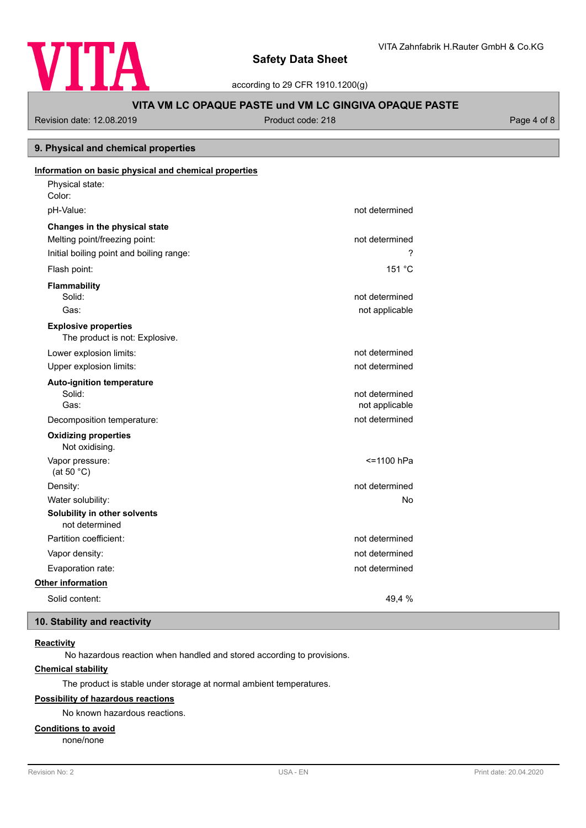

according to 29 CFR 1910.1200(g)

# **VITA VM LC OPAQUE PASTE und VM LC GINGIVA OPAQUE PASTE**

Revision date: 12.08.2019 **Product code: 218** Product code: 218 **Page 4 of 8** Page 4 of 8

# **9. Physical and chemical properties**

| Information on basic physical and chemical properties |                |
|-------------------------------------------------------|----------------|
| Physical state:                                       |                |
| Color:                                                |                |
| pH-Value:                                             | not determined |
| Changes in the physical state                         |                |
| Melting point/freezing point:                         | not determined |
| Initial boiling point and boiling range:              | 7              |
| Flash point:                                          | 151 °C         |
| <b>Flammability</b>                                   |                |
| Solid:                                                | not determined |
| Gas:                                                  | not applicable |
| <b>Explosive properties</b>                           |                |
| The product is not: Explosive.                        |                |
| Lower explosion limits:                               | not determined |
| Upper explosion limits:                               | not determined |
| <b>Auto-ignition temperature</b>                      |                |
| Solid:                                                | not determined |
| Gas:                                                  | not applicable |
| Decomposition temperature:                            | not determined |
| <b>Oxidizing properties</b><br>Not oxidising.         |                |
| Vapor pressure:                                       | <=1100 hPa     |
| (at 50 $°C$ )                                         |                |
| Density:                                              | not determined |
| Water solubility:                                     | No             |
| Solubility in other solvents<br>not determined        |                |
| Partition coefficient:                                | not determined |
| Vapor density:                                        | not determined |
| Evaporation rate:                                     | not determined |
| <b>Other information</b>                              |                |
| Solid content:                                        | 49.4 %         |

# **10. Stability and reactivity**

# **Reactivity**

No hazardous reaction when handled and stored according to provisions.

# **Chemical stability**

The product is stable under storage at normal ambient temperatures.

# **Possibility of hazardous reactions**

No known hazardous reactions.

## **Conditions to avoid**

none/none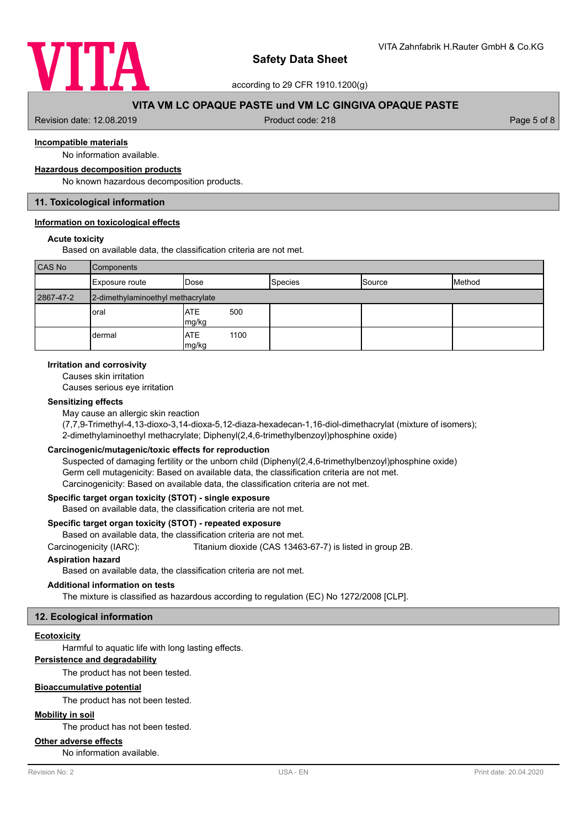

according to 29 CFR 1910.1200(g)

# **VITA VM LC OPAQUE PASTE und VM LC GINGIVA OPAQUE PASTE**

Revision date: 12.08.2019 **Product code: 218** Product code: 218 **Page 5 of 8** Page 5 of 8

# **Incompatible materials**

No information available.

# **Hazardous decomposition products**

No known hazardous decomposition products.

# **11. Toxicological information**

### **Information on toxicological effects**

### **Acute toxicity**

Based on available data, the classification criteria are not met.

| <b>CAS No</b> | <b>Components</b>                 |                             |                |        |        |
|---------------|-----------------------------------|-----------------------------|----------------|--------|--------|
|               | Exposure route                    | <b>I</b> Dose               | <b>Species</b> | Source | Method |
| 2867-47-2     | 2-dimethylaminoethyl methacrylate |                             |                |        |        |
|               | <b>oral</b>                       | <b>ATE</b><br>500<br>mg/kg  |                |        |        |
|               | dermal                            | <b>ATE</b><br>1100<br>mg/kg |                |        |        |

## **Irritation and corrosivity**

Causes skin irritation

Causes serious eye irritation

### **Sensitizing effects**

May cause an allergic skin reaction

(7,7,9-Trimethyl-4,13-dioxo-3,14-dioxa-5,12-diaza-hexadecan-1,16-diol-dimethacrylat (mixture of isomers); 2-dimethylaminoethyl methacrylate; Diphenyl(2,4,6-trimethylbenzoyl)phosphine oxide)

### **Carcinogenic/mutagenic/toxic effects for reproduction**

Suspected of damaging fertility or the unborn child (Diphenyl(2,4,6-trimethylbenzoyl)phosphine oxide) Germ cell mutagenicity: Based on available data, the classification criteria are not met. Carcinogenicity: Based on available data, the classification criteria are not met.

### **Specific target organ toxicity (STOT) - single exposure**

Based on available data, the classification criteria are not met.

### **Specific target organ toxicity (STOT) - repeated exposure**

Based on available data, the classification criteria are not met.

Carcinogenicity (IARC): Titanium dioxide (CAS 13463-67-7) is listed in group 2B.

### **Aspiration hazard**

Based on available data, the classification criteria are not met.

### **Additional information on tests**

The mixture is classified as hazardous according to regulation (EC) No 1272/2008 [CLP].

# **12. Ecological information**

## **Ecotoxicity**

Harmful to aquatic life with long lasting effects.

# **Persistence and degradability**

The product has not been tested.

# **Bioaccumulative potential**

The product has not been tested.

# **Mobility in soil**

The product has not been tested.

## **Other adverse effects**

No information available.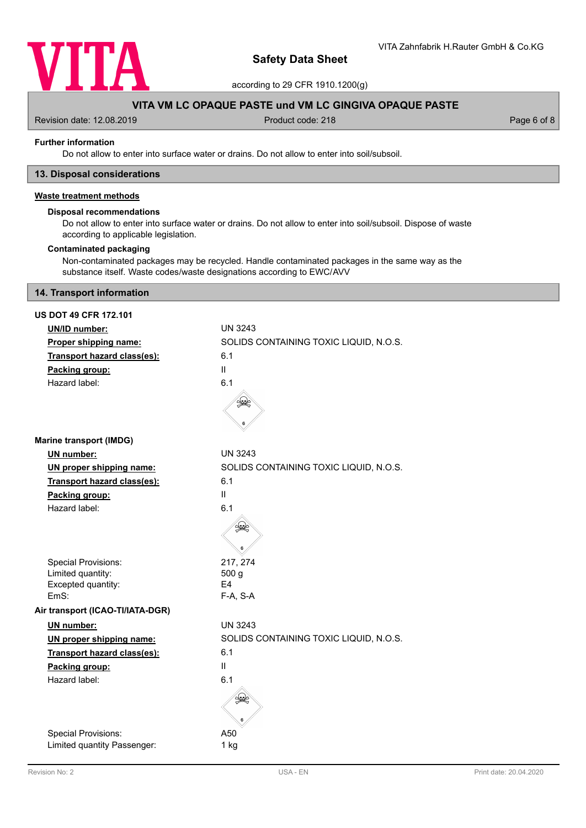

according to 29 CFR 1910.1200(g)

# **VITA VM LC OPAQUE PASTE und VM LC GINGIVA OPAQUE PASTE**

Revision date: 12.08.2019 **Product code: 218** Product code: 218 **Page 6 of 8** Page 6 of 8

### **Further information**

Do not allow to enter into surface water or drains. Do not allow to enter into soil/subsoil.

## **13. Disposal considerations**

# **Waste treatment methods**

# **Disposal recommendations**

Do not allow to enter into surface water or drains. Do not allow to enter into soil/subsoil. Dispose of waste according to applicable legislation.

## **Contaminated packaging**

Non-contaminated packages may be recycled. Handle contaminated packages in the same way as the substance itself. Waste codes/waste designations according to EWC/AVV

# **14. Transport information**

| <b>US DOT 49 CFR 172.101</b>     |                                        |
|----------------------------------|----------------------------------------|
| UN/ID number:                    | <b>UN 3243</b>                         |
| Proper shipping name:            | SOLIDS CONTAINING TOXIC LIQUID, N.O.S. |
| Transport hazard class(es):      | 6.1                                    |
| Packing group:                   | Ш                                      |
| Hazard label:                    | 6.1                                    |
|                                  |                                        |
| <b>Marine transport (IMDG)</b>   |                                        |
| UN number:                       | <b>UN 3243</b>                         |
| UN proper shipping name:         | SOLIDS CONTAINING TOXIC LIQUID, N.O.S. |
| Transport hazard class(es):      | 6.1                                    |
| Packing group:                   | Ш                                      |
| Hazard label:                    | 6.1                                    |
|                                  |                                        |
| <b>Special Provisions:</b>       | 217, 274                               |
| Limited quantity:                | 500 g                                  |
| Excepted quantity:<br>EmS:       | F4<br>F-A, S-A                         |
| Air transport (ICAO-TI/IATA-DGR) |                                        |
| UN number:                       | <b>UN 3243</b>                         |
| UN proper shipping name:         | SOLIDS CONTAINING TOXIC LIQUID, N.O.S. |
| Transport hazard class(es):      | 6.1                                    |
| Packing group:                   | Ш                                      |
| Hazard label:                    | 6.1                                    |
|                                  |                                        |
| Special Provisions:              | A50                                    |
| Limited quantity Passenger:      | 1 kg                                   |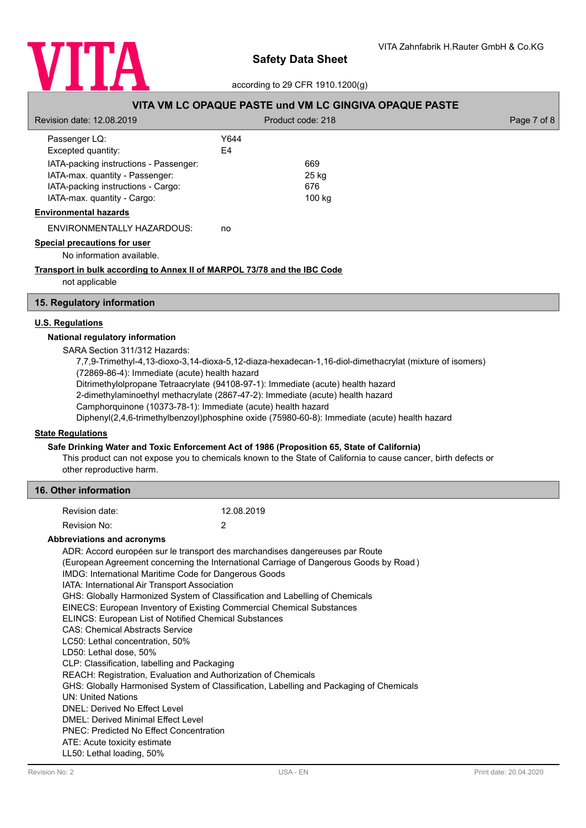

according to 29 CFR 1910.1200(g)

# **VITA VM LC OPAQUE PASTE und VM LC GINGIVA OPAQUE PASTE**

| Revision date: 12.08.2019                                                                  | Product code: 218 | Page 7 of 8 |
|--------------------------------------------------------------------------------------------|-------------------|-------------|
| Passenger LQ:                                                                              | Y644              |             |
| Excepted quantity:                                                                         | E4                |             |
| IATA-packing instructions - Passenger:                                                     | 669               |             |
| IATA-max. quantity - Passenger:                                                            | 25 kg             |             |
| IATA-packing instructions - Cargo:                                                         | 676               |             |
| IATA-max. quantity - Cargo:                                                                | 100 kg            |             |
| <b>Environmental hazards</b>                                                               |                   |             |
| ENVIRONMENTALLY HAZARDOUS:                                                                 | no                |             |
| Special precautions for user                                                               |                   |             |
| No information available.                                                                  |                   |             |
| Transport in bulk according to Annex II of MARPOL 73/78 and the IBC Code<br>not applicable |                   |             |

### **15. Regulatory information**

# **U.S. Regulations**

### **National regulatory information**

SARA Section 311/312 Hazards:

7,7,9-Trimethyl-4,13-dioxo-3,14-dioxa-5,12-diaza-hexadecan-1,16-diol-dimethacrylat (mixture of isomers)

(72869-86-4): Immediate (acute) health hazard

Ditrimethylolpropane Tetraacrylate (94108-97-1): Immediate (acute) health hazard

2-dimethylaminoethyl methacrylate (2867-47-2): Immediate (acute) health hazard

Camphorquinone (10373-78-1): Immediate (acute) health hazard

Diphenyl(2,4,6-trimethylbenzoyl)phosphine oxide (75980-60-8): Immediate (acute) health hazard

# **State Regulations**

### **Safe Drinking Water and Toxic Enforcement Act of 1986 (Proposition 65, State of California)**

This product can not expose you to chemicals known to the State of California to cause cancer, birth defects or other reproductive harm.

## **16. Other information**

| Revision date: | 12.08.2019 |
|----------------|------------|
| Revision No:   |            |

### **Abbreviations and acronyms**

ADR: Accord européen sur le transport des marchandises dangereuses par Route (European Agreement concerning the International Carriage of Dangerous Goods by Road ) IMDG: International Maritime Code for Dangerous Goods IATA: International Air Transport Association GHS: Globally Harmonized System of Classification and Labelling of Chemicals EINECS: European Inventory of Existing Commercial Chemical Substances ELINCS: European List of Notified Chemical Substances CAS: Chemical Abstracts Service LC50: Lethal concentration, 50% LD50: Lethal dose, 50% CLP: Classification, labelling and Packaging REACH: Registration, Evaluation and Authorization of Chemicals GHS: Globally Harmonised System of Classification, Labelling and Packaging of Chemicals UN: United Nations DNEL: Derived No Effect Level DMEL: Derived Minimal Effect Level PNEC: Predicted No Effect Concentration ATE: Acute toxicity estimate LL50: Lethal loading, 50%